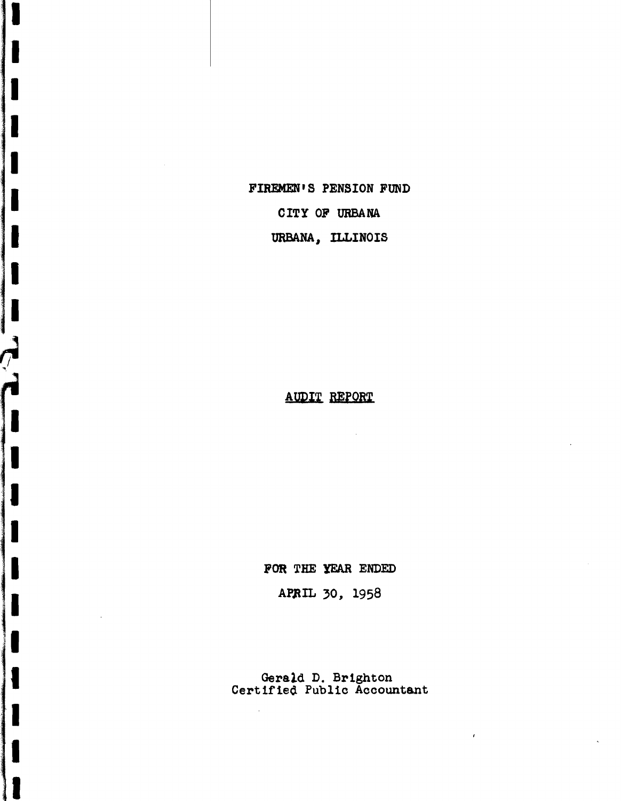FIREMEN'S PENSION FUND

г

I

l

 $\overline{\phantom{a}}$ 

I

 $\frac{1}{\epsilon}$ 

I

L

 $\bar{\epsilon}$ 

CITY OF URBANA

URBANA, ILLINOIS

**AUDIT REPORT** 

 $\mathcal{L}$ 

FOR THE YEAR ENDED

APRIL 30, 1958

Gerald D. Brighton<br>Certified Public Accountant

 $\bar{t}$ 

 $\mathcal{A}^{\mathcal{A}}$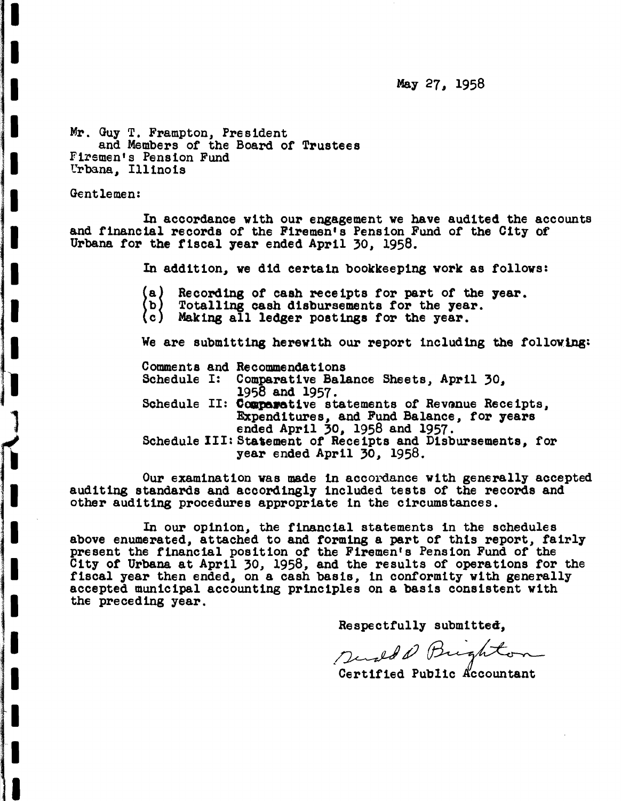May 27, 1958

Mr. Guy T. Frampton, President and Members of the Board of Trustees Firemen's Pension Fund Urbana, Illinois

Gentlemen:

I

I

I

I

**I**:<br>I: Andrew Constant (1980)<br>**I: Andrew Constant (1980)** 

I

I

I

I

;1

1

**I** 

I

I

I

I

1<br>11

I

I

-I

I

In accordance with our engagement we have audited the accounts and financial records of the Firemen's Pension Fund of the City or Urbana. for the fiscal year ended April 30, 1958.

In addition, we did certain bookkeeping work as follows:

- (a) | Recording of cash receipts for part of the year.<br>Totalling cash disbursements for the year.<br>Making all ledger postings for the year.
- (b) |
- (c)\_

We are submitting herewith our report including the following:

Comments and Recommendations<br>Schedule I: Comparative Bala

- Comparative Balance Sheets, April 30, 1958 and 1957.
- Schedule II: Comparative statements of Revonue Receipts,<br>Expenditures, and Fund Balance, for years<br>ended April 30, 1958 and 1957.
- Schedule III: Sta'ement *ot* Receipts and Disbursements, for year ended April 30, 1958.

Our examination was made in accordance with generally accepted auditing standards and accordingly included tests of the records and other auditing procedures appropriate in the circumstances.

In our opinion, the financial statements in the schedules above enumerated, attached to and torming a part of this report, fairly present the financial position of the Firemen's Pension Fund of the City of Urbana at April 30, 1958, and the results of operations for the fiscal year then ended, on <sup>a</sup> cash basis, in conformity with generally accepted municipal accounting principles on <sup>a</sup> basis consistent with the preceding year.

Respectfully submitted,

Respectfully submitted,

Certified Public Accountant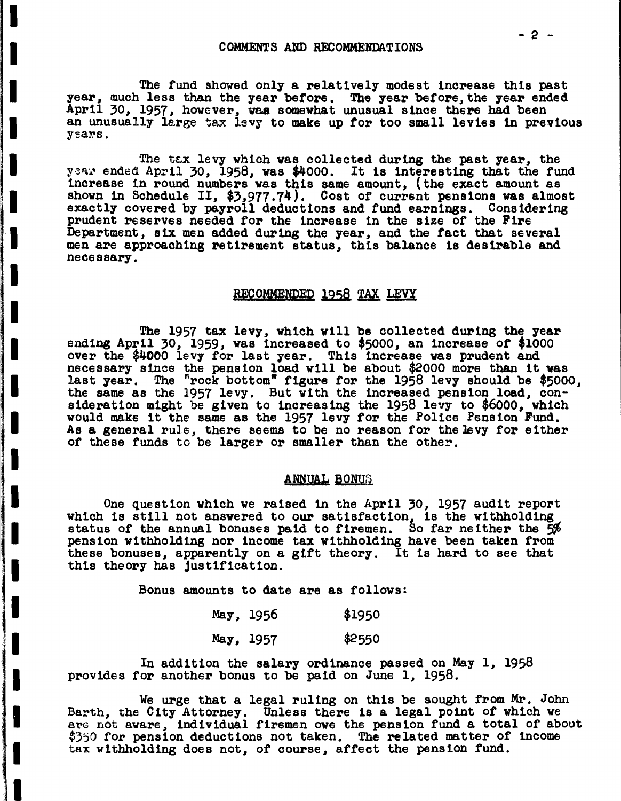I

I

I

I

I

I

°1

I

I

I

I

I

I

I

I

'II. Berlin Stadt Stadt Stadt Stadt Stadt Stadt Stadt Stadt Stadt Stadt Stadt Stadt Stadt Stadt Stadt Stadt St<br>1980 - Paris Stadt Stadt Stadt Stadt Stadt Stadt Stadt Stadt Stadt Stadt Stadt Stadt Stadt Stadt Stadt Stadt <br>1

I.

I

I

I

I

The fund showed only a relatively modest increase this past year, much less than the year before. The year before, the year ended April 30, 1957, however, waa somewhat unusual s1nce there had been an unusually large tax levy to make up for too small levies in previous years.

The tax levy which was collected during the past year, the year ended April 30, 1958, was \$4000. It is interesting that the fund increase in round numbers was this same amount, (the exact amount as shown in Schedule II, \$3,977.74). Cost of current pensions was almost exactly covered by payroll deductions and fund earnings. Considering prudent reserves needed for the increase in the size of the Fire Department, six men added during the year, and the fact that several men are approaching retirement status, this balance is desirable and necessary.

#### RECOMMENDED 1958 TAX LEVY

The <sup>1957</sup> tax levy, which will be collected during the year ending April 30, 1959, was increased to \$5000, an increase of \$1000 over the \$4000 levy for last year. This increase was prudent and necessary since the pension load will be about \$2000 more than it was last year. The "rock bottom" figure for the 1958 levy should be \$5000, the same as the 1957 levy. But with the increased pension load, consideration might be given to increasing the 1958 levy to \$6000, which sideration might be given to increasing the 1950 levy to 40000, which As a general rule, there seems to be no reason for the levy for either of these funds to be larger or smaller than the other.

### ANNUAL BONUS

One question which we raised in the April 30, 1957 audit report which is still not answered to our satisfaction, is the withholding status of the annual bonuses paid to firemen. So far neither the 5% pension Withholding nor income tax Withholding have been taken from these bonuses, apparently on a g1ft theory. It is hard to see that this theory has justification.

Bonus amounts to date are as follows:

| May, 1956 | \$1950 |
|-----------|--------|
| May, 1957 | \$2550 |

In addition the salary ordinance passed on May 1, 1958 provides for another bonus to be paid on June 1, 1958.

We urge that a legal ruling on this be sought from Mr. John Barth, the City Attorney. Unless there is a legal point of which we are not aware, individual firemen owe the pension fund a total of about \$350 for pension deductions not taken. The related matter of income tax Withholding does not, of course, affect the pension fund.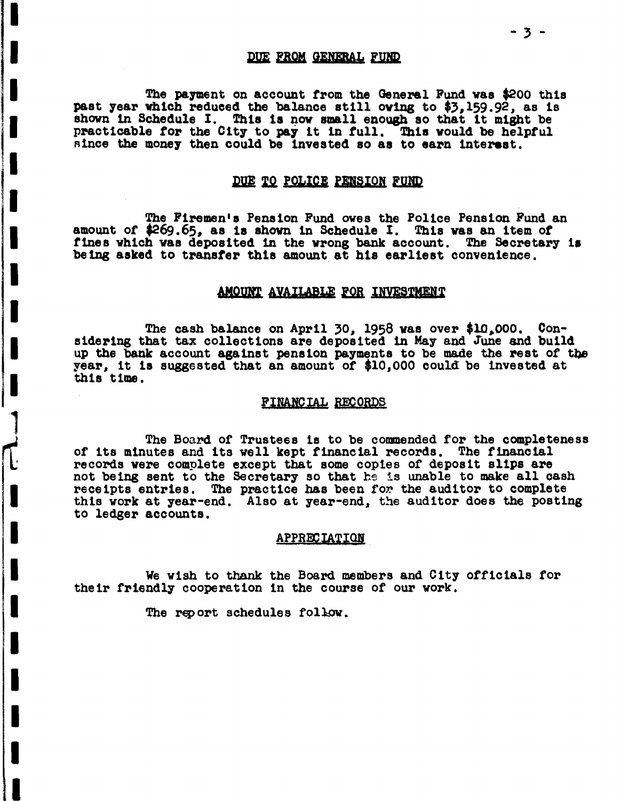### DUE FROM GENERAL FUND

The payment on account from the General Fund was \$200 this past year which reduced the balance still owing to \$3,159.92, as is shown in Schedule I. This is now small enough so that it might be practicable for the City to pay it in full. This would be helpful since the money then could be invested so as to earn interest.

## DUE TO POLICE PENSION FUND

The Firemen's Pension Fund owes the Police Pension Fund an amount of \$269.65, as is shown in Schedule I. This was an item of fines which was deposited in the wrong bank account. The Secretary is being asked to transfer this amount at his earliest convenience.

#### AMOUNT AVAILABLE FOR INVESTMENT

The cash balance on April 30, 1958 was over \$10,000. Considering that tax collections are deposited in May and June and build up the bank account against pension payments to be made the rest of the year, it is suggested that an amount of \$10.000 could be invested at this time.

#### FINANCIAL RECORDS

The Board of Trustees is to be commended for the completeness of its minutes and its well kept financial records. The financial records were complete except that some copies of deposit slips are not being sent to the Secretary so that he is unable to make all cash receipts entries. The practice has been for the auditor to complete this work at year-end. Also at year-end, the auditor does the posting to ledger accounts.

#### APPRECIATION

We wish to thank the Board members and City officials for their friendly cooperation in the course of our work.

The report schedules follow.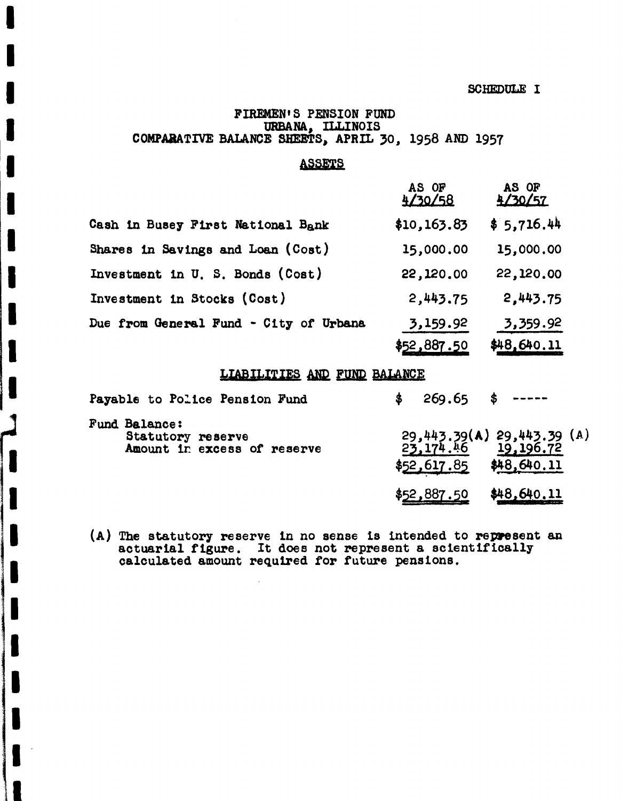**SCHEDULE I** 

## FIREMEN'S PENSION FUND URBANA, ILLINOIS COMPARATIVE BALANCE SHEETS, APRIL 30, 1958 AND 1957

## **ASSETS**

|                                        | AS OF<br>4/30/58 | AS OF<br>4/30/57 |
|----------------------------------------|------------------|------------------|
| Cash in Busey First National Bank      | \$10,163.83      | \$5,716.44       |
| Shares in Savings and Loan (Cost)      | 15,000.00        | 15,000.00        |
| Investment in U. S. Bonds (Cost)       | 22,120.00        | 22,120.00        |
| Investment in Stocks (Cost)            | 2,443.75         | 2,443.75         |
| Due from General Fund - City of Urbana | 3,159.92         | 3,359.92         |
|                                        | \$52,887.50      | \$48,640.11      |

## LIABILITIES AND FUND BALANCE

| Payable to Police Pension Fund                                           | $269.65$ \$ -----                                                             |
|--------------------------------------------------------------------------|-------------------------------------------------------------------------------|
| <b>Fund Balance:</b><br>Statutory reserve<br>Amount in excess of reserve | 29,443.39(A) 29,443.39 (A)<br>23,174.46 19,196.72<br>$$52,617.85$ \$48,640.11 |
|                                                                          | \$48,640.11<br>887.50                                                         |

(A) The statutory reserve in no sense is intended to represent an actuarial figure. It does not represent a scientifically calculated amount required for future pensions.

L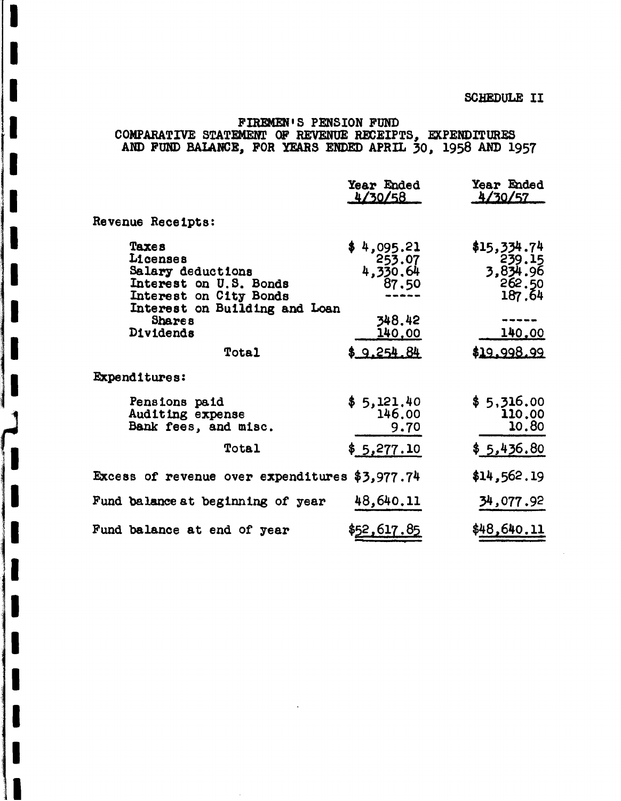# FIREMEN'S PENSION FUND<br>COMPARATIVE STATEMENT OF REVENUE RECEIPTS, EXPENDITURES<br>AND FUND BALANCE, FOR YEARS ENDED APRIL 30, 1958 AND 1957

|                                                                                                                                              | Year Ended<br>4/30/58                               | Year Ended<br>4/30/57                                   |
|----------------------------------------------------------------------------------------------------------------------------------------------|-----------------------------------------------------|---------------------------------------------------------|
| Revenue Receipts:                                                                                                                            |                                                     |                                                         |
| Taxes<br>Licenses<br>Salary deductions<br>Interest on U.S. Bonds<br>Interest on City Bonds<br>Interest on Building and Loan<br><b>Shares</b> | \$4,095.21<br>253.07<br>4,330.64<br>87.50<br>348.42 | \$15,334.74<br>$239.15$<br>3,834.96<br>262.50<br>187.64 |
| Dividends                                                                                                                                    | <u>140.00</u>                                       | <u>140.00</u>                                           |
| <b>Total</b>                                                                                                                                 | \$9.254.84                                          | \$19.998.99                                             |
| <b>Expenditures:</b>                                                                                                                         |                                                     |                                                         |
| Pensions paid<br>Auditing expense<br>Bank fees, and misc.                                                                                    | \$5,121,40<br>146.00<br>9.70                        | \$5,316.00<br>110.00<br>10.80                           |
| Total                                                                                                                                        | \$5,277.10                                          | \$5,436.80                                              |
| Excess of revenue over expenditures \$3,977.74                                                                                               |                                                     | \$14,562.19                                             |
| Fund balance at beginning of year                                                                                                            | 48,640.11                                           | 34,077.92                                               |
| Fund balance at end of year                                                                                                                  | \$52,617.85                                         | \$48,640.11                                             |